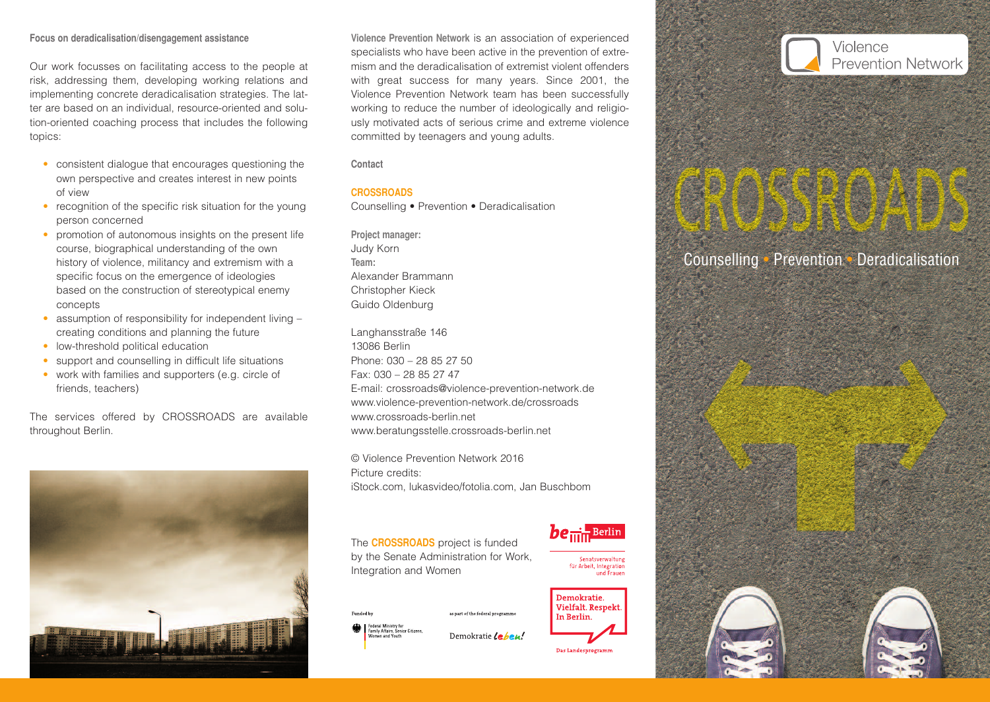#### **Focus on deradicalisation/disengagement assistance**

Our work focusses on facilitating access to the people at risk, addressing them, developing working relations and implementing concrete deradicalisation strategies. The latter are based on an individual, resource-oriented and solution-oriented coaching process that includes the following topics:

- consistent dialogue that encourages questioning the own perspective and creates interest in new points of view
- recognition of the specific risk situation for the young person concerned
- promotion of autonomous insights on the present life course, biographical understanding of the own history of violence, militancy and extremism with a specific focus on the emergence of ideologies based on the construction of stereotypical enemy concepts
- assumption of responsibility for independent living creating conditions and planning the future
- low-threshold political education
- support and counselling in difficult life situations
- work with families and supporters (e.g. circle of friends, teachers)

The services offered by CROSSROADS are available throughout Berlin.



**Violence Prevention Network** is an association of experienced specialists who have been active in the prevention of extremism and the deradicalisation of extremist violent offenders with great success for many years. Since 2001, the Violence Prevention Network team has been successfully working to reduce the number of ideologically and religiously motivated acts of serious crime and extreme violence committed by teenagers and young adults.

**Contact**

## **CROSSROADS**

Counselling • Prevention • Deradicalisation

**Project manager:** Judy Korn **Team:** Alexander Brammann Christopher Kieck Guido Oldenburg

Langhansstraße 146 13086 Berlin Phone: 030 – 28 85 27 50 Fax: 030 – 28 85 27 47 E-mail: crossroads@violence-prevention-network.de www.violence-prevention-network.de/crossroads www.crossroads-berlin.net www.beratungsstelle.crossroads-berlin.net

© Violence Prevention Network 2016 Picture credits: iStock.com, lukasvideo/fotolia.com, Jan Buschbom

as part of the federal programme

The **CROSSROADS** project is funded by the Senate Administration for Work, Integration and Women



Federal Ministry for<br>Family Affairs, Senior Citizens, Demokratie Leben!



Senatsverwaltun für Arbeit, Integration und Fraue



Das Landesprogramm